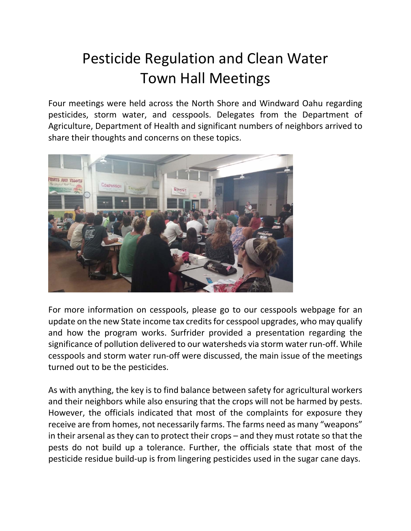## Pesticide Regulation and Clean Water Town Hall Meetings

Four meetings were held across the North Shore and Windward Oahu regarding pesticides, storm water, and cesspools. Delegates from the Department of Agriculture, Department of Health and significant numbers of neighbors arrived to share their thoughts and concerns on these topics.



For more information on cesspools, please go to our cesspools webpage for an update on the new State income tax credits for cesspool upgrades, who may qualify and how the program works. Surfrider provided a presentation regarding the significance of pollution delivered to our watersheds via storm water run-off. While cesspools and storm water run‐off were discussed, the main issue of the meetings turned out to be the pesticides.

As with anything, the key is to find balance between safety for agricultural workers and their neighbors while also ensuring that the crops will not be harmed by pests. However, the officials indicated that most of the complaints for exposure they receive are from homes, not necessarily farms. The farms need as many "weapons" in their arsenal as they can to protect their crops – and they must rotate so that the pests do not build up a tolerance. Further, the officials state that most of the pesticide residue build‐up is from lingering pesticides used in the sugar cane days.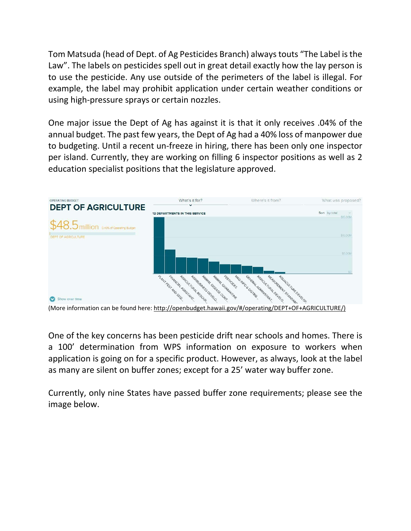Tom Matsuda (head of Dept. of Ag Pesticides Branch) alwaystouts "The Label isthe Law". The labels on pesticides spell out in great detail exactly how the lay person is to use the pesticide. Any use outside of the perimeters of the label is illegal. For example, the label may prohibit application under certain weather conditions or using high‐pressure sprays or certain nozzles.

One major issue the Dept of Ag has against it is that it only receives .04% of the annual budget. The past few years, the Dept of Ag had a 40% loss of manpower due to budgeting. Until a recent un‐freeze in hiring, there has been only one inspector per island. Currently, they are working on filling 6 inspector positions as well as 2 education specialist positions that the legislature approved.



One of the key concerns has been pesticide drift near schools and homes. There is a 100' determination from WPS information on exposure to workers when application is going on for a specific product. However, as always, look at the label as many are silent on buffer zones; except for a 25' water way buffer zone.

Currently, only nine States have passed buffer zone requirements; please see the image below.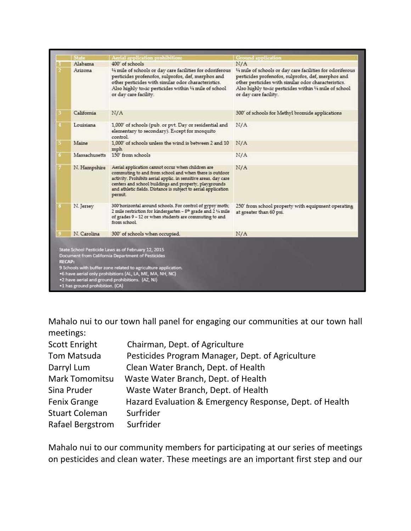|   | <b>State</b>  | Aerial application prohibition:                                                                                                                                                                                                                                                                                       | <b>Ground</b> application                                                                                                                                                                                                                                  |
|---|---------------|-----------------------------------------------------------------------------------------------------------------------------------------------------------------------------------------------------------------------------------------------------------------------------------------------------------------------|------------------------------------------------------------------------------------------------------------------------------------------------------------------------------------------------------------------------------------------------------------|
|   | Alabama       | 400' of schools                                                                                                                                                                                                                                                                                                       | N/A                                                                                                                                                                                                                                                        |
|   | Arizona       | 1/4 mile of schools or day care facilities for odoriferous<br>pesticides profenofos, sulprofos, def, merphos and<br>other pesticides with similar odor characteristics.<br>Also highly toxic pesticides within 1/4 mile of school<br>or day care facility.                                                            | 1/4 mile of schools or day care facilities for odoriferous<br>pesticides profenofos, sulprofos, def, merphos and<br>other pesticides with similar odor characteristics.<br>Also highly toxic pesticides within 1/4 mile of school<br>or day care facility. |
|   | California    | N/A                                                                                                                                                                                                                                                                                                                   | 300' of schools for Methyl bromide applications                                                                                                                                                                                                            |
|   | Louisiana     | 1,000' of schools (pub. or pvt. Day or residential and<br>elementary to secondary). Except for mosquito<br>control                                                                                                                                                                                                    | N/A                                                                                                                                                                                                                                                        |
| 5 | Maine         | 1,000' of schools unless the wind is between 2 and 10<br>mph                                                                                                                                                                                                                                                          | N/A                                                                                                                                                                                                                                                        |
|   | Massachusetts | 150' from schools                                                                                                                                                                                                                                                                                                     | N/A                                                                                                                                                                                                                                                        |
|   | N. Hampshire  | Aerial application cannot occur when children are<br>commuting to and from school and when there is outdoor<br>activity. Prohibits aerial applic. in sensitive areas, day care<br>centers and school buildings and property, playgrounds<br>and athletic fields. Distance is subject to aerial application<br>permit. | N/A                                                                                                                                                                                                                                                        |
|   | N. Jersey     | 300'horizontal around schools. For control of gypsy moth;<br>2 mile restriction for kindergarten - 8 <sup>th</sup> grade and 2 1/4 mile<br>of grades 9 - 12 or when students are commuting to and<br>from school                                                                                                      | 250' from school property with equipment operating<br>at greater than 60 psi.                                                                                                                                                                              |
|   | N Carolina    | 300' of schools when occupied.                                                                                                                                                                                                                                                                                        | N/A                                                                                                                                                                                                                                                        |

Mahalo nui to our town hall panel for engaging our communities at our town hall meetings:

| <b>Scott Enright</b>  | Chairman, Dept. of Agriculture                          |
|-----------------------|---------------------------------------------------------|
| <b>Tom Matsuda</b>    | Pesticides Program Manager, Dept. of Agriculture        |
| Darryl Lum            | Clean Water Branch, Dept. of Health                     |
| <b>Mark Tomomitsu</b> | Waste Water Branch, Dept. of Health                     |
| Sina Pruder           | Waste Water Branch, Dept. of Health                     |
| <b>Fenix Grange</b>   | Hazard Evaluation & Emergency Response, Dept. of Health |
| <b>Stuart Coleman</b> | Surfrider                                               |
| Rafael Bergstrom      | Surfrider                                               |

Mahalo nui to our community members for participating at our series of meetings on pesticides and clean water. These meetings are an important first step and our